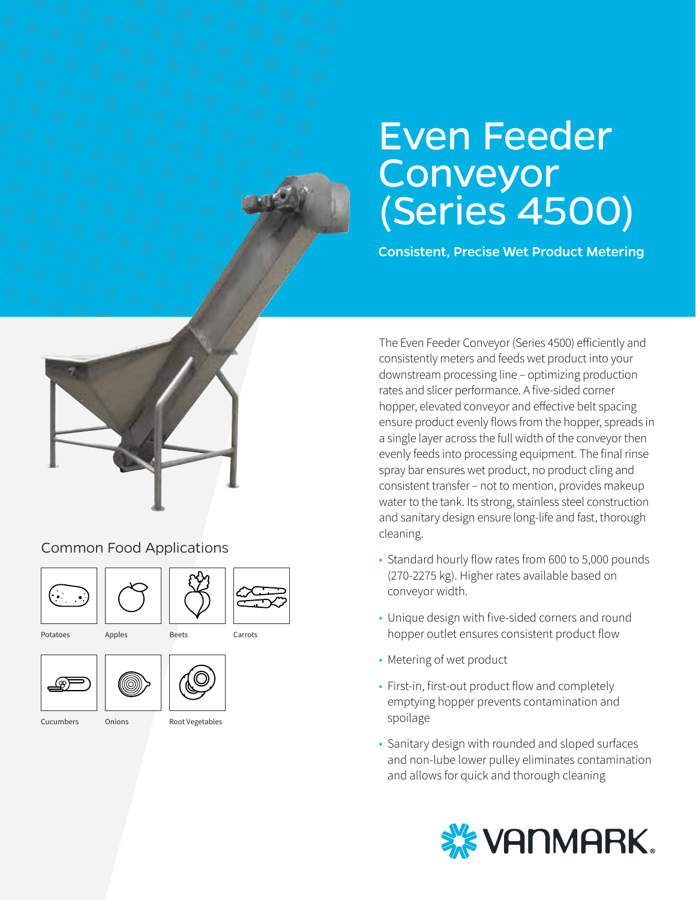# Even Feeder Conveyor (Series 4500)

Consistent, Precise Wet Product Metering

The Even Feeder Conveyor (Series 4500) efficiently and consistently meters and feeds wet product into your downstream processing line – optimizing production rates and slicer performance. A five-sided corner hopper, elevated conveyor and effective belt spacing ensure product evenly flows from the hopper, spreads in a single layer across the full width of the conveyor then evenly feeds into processing equipment. The final rinse spray bar ensures wet product, no product cling and consistent transfer – not to mention, provides makeup water to the tank. Its strong, stainless steel construction and sanitary design ensure long-life and fast, thorough cleaning.

- Standard hourly flow rates from 600 to 5,000 pounds (270-2275 kg). Higher rates available based on conveyor width.
- Unique design with five-sided corners and round hopper outlet ensures consistent product flow
- Metering of wet product
- First-in, first-out product flow and completely emptying hopper prevents contamination and spoilage
- Sanitary design with rounded and sloped surfaces and non-lube lower pulley eliminates contamination and allows for quick and thorough cleaning





#### Common Food Applications







Potatoes

Apples Beets





Cucumbers

Onions Root Vegetables